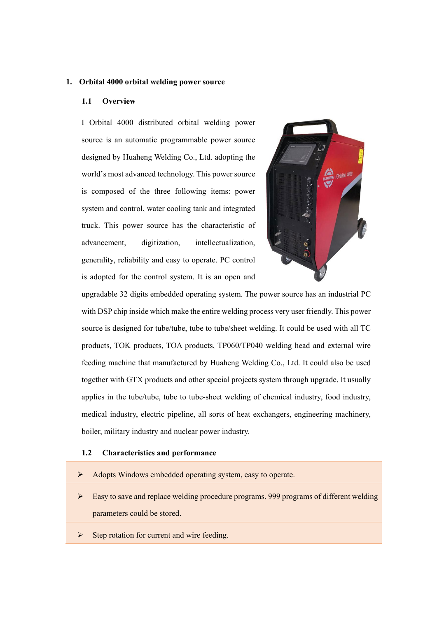## **1. Orbital 4000 orbital welding power source**

## **1.1 Overview**

I Orbital 4000 distributed orbital welding power source is an automatic programmable power source designed by Huaheng Welding Co., Ltd. adopting the world's most advanced technology. This power source is composed of the three following items: power system and control, water cooling tank and integrated truck. This power source has the characteristic of advancement, digitization, intellectualization, generality, reliability and easy to operate. PC control is adopted for the control system. It is an open and



upgradable 32 digits embedded operating system. The power source has an industrial PC with DSP chip inside which make the entire welding process very user friendly. This power source is designed for tube/tube, tube to tube/sheet welding. It could be used with all TC products, TOK products, TOA products, TP060/TP040 welding head and external wire feeding machine that manufactured by Huaheng Welding Co., Ltd. It could also be used together with GTX products and other special projects system through upgrade. It usually applies in the tube/tube, tube to tube-sheet welding of chemical industry, food industry, medical industry, electric pipeline, all sorts of heat exchangers, engineering machinery, boiler, military industry and nuclear power industry.

## **1.2 Characteristics and performance**

- Adopts Windows embedded operating system, easy to operate.
- $\triangleright$  Easy to save and replace welding procedure programs. 999 programs of different welding parameters could be stored.
- $\triangleright$  Step rotation for current and wire feeding.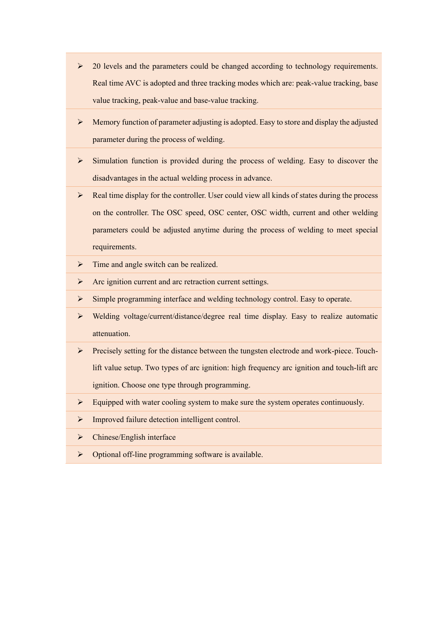- $\geq$  20 levels and the parameters could be changed according to technology requirements. Real time AVC is adopted and three tracking modes which are: peak-value tracking, base value tracking, peak-value and base-value tracking.
- $\triangleright$  Memory function of parameter adjusting is adopted. Easy to store and display the adjusted parameter during the process of welding.
- $\triangleright$  Simulation function is provided during the process of welding. Easy to discover the disadvantages in the actual welding process in advance.
- $\triangleright$  Real time display for the controller. User could view all kinds of states during the process on the controller. The OSC speed, OSC center, OSC width, current and other welding parameters could be adjusted anytime during the process of welding to meet special requirements.
- $\triangleright$  Time and angle switch can be realized.
- $\triangleright$  Arc ignition current and arc retraction current settings.
- $\triangleright$  Simple programming interface and welding technology control. Easy to operate.
- Welding voltage/current/distance/degree real time display. Easy to realize automatic attenuation.
- Precisely setting for the distance between the tungsten electrode and work-piece. Touchlift value setup. Two types of arc ignition: high frequency arc ignition and touch-lift arc ignition. Choose one type through programming.
- $\triangleright$  Equipped with water cooling system to make sure the system operates continuously.
- > Improved failure detection intelligent control.
- $\triangleright$  Chinese/English interface
- $\triangleright$  Optional off-line programming software is available.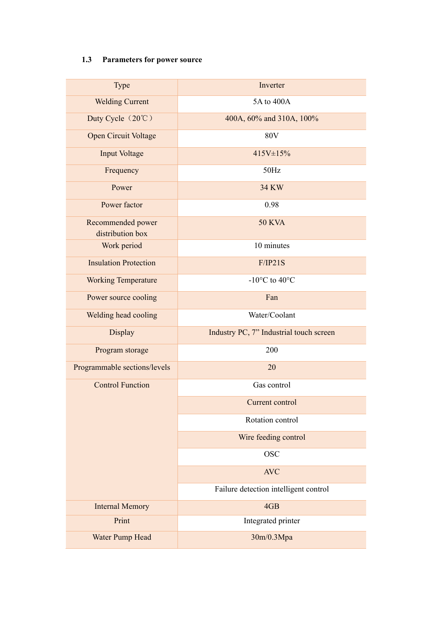## **1.3 Parameters for power source**

| Type                                  | Inverter                                  |
|---------------------------------------|-------------------------------------------|
| <b>Welding Current</b>                | 5A to 400A                                |
| Duty Cycle (20°C)                     | 400A, 60% and 310A, 100%                  |
| Open Circuit Voltage                  | <b>80V</b>                                |
| <b>Input Voltage</b>                  | 415V±15%                                  |
| Frequency                             | 50Hz                                      |
| Power                                 | <b>34 KW</b>                              |
| Power factor                          | 0.98                                      |
| Recommended power<br>distribution box | <b>50 KVA</b>                             |
| Work period                           | 10 minutes                                |
| <b>Insulation Protection</b>          | F/IP21S                                   |
| <b>Working Temperature</b>            | -10 $\rm ^{\circ}C$ to 40 $\rm ^{\circ}C$ |
| Power source cooling                  | Fan                                       |
| Welding head cooling                  | Water/Coolant                             |
|                                       |                                           |
| Display                               | Industry PC, 7" Industrial touch screen   |
| Program storage                       | 200                                       |
| Programmable sections/levels          | 20                                        |
| <b>Control Function</b>               | Gas control                               |
|                                       | Current control                           |
|                                       | Rotation control                          |
|                                       | Wire feeding control                      |
|                                       | <b>OSC</b>                                |
|                                       | <b>AVC</b>                                |
|                                       | Failure detection intelligent control     |
| <b>Internal Memory</b>                | 4GB                                       |
| Print                                 | Integrated printer                        |